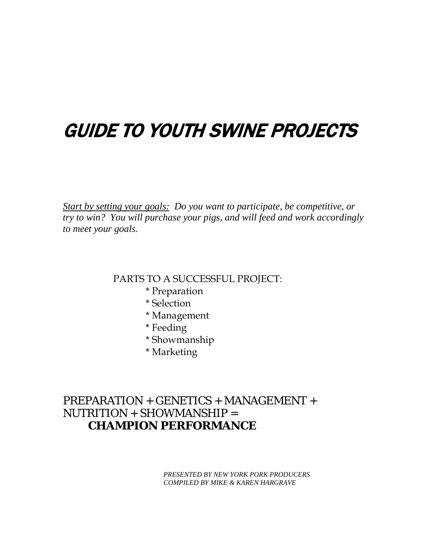# GUIDE TO YOUTH SWINE PROJECTS

*Start by setting your goals: Do you want to participate, be competitive, or try to win? You will purchase your pigs, and will feed and work accordingly to meet your goals.*

PARTS TO A SUCCESSFUL PROJECT:

- \* Preparation
- \* Selection
- \* Management
- \* Feeding
- \* Showmanship
- \* Marketing

# PREPARATION + GENETICS + MANAGEMENT + NUTRITION + SHOWMANSHIP = **CHAMPION PERFORMANCE**

*PRESENTED BY NEW YORK PORK PRODUCERS COMPILED BY MIKE & KAREN HARGRAVE*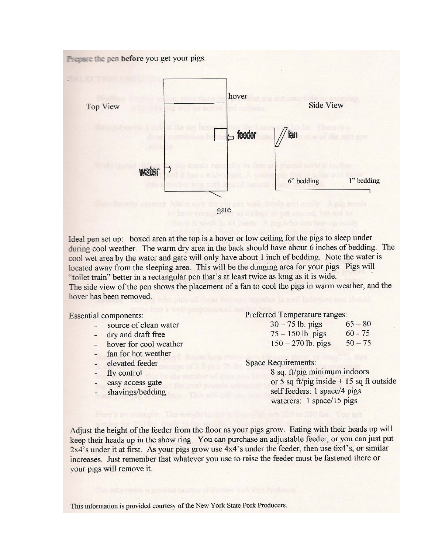

Ideal pen set up: boxed area at the top is a hover or low ceiling for the pigs to sleep under during cool weather. The warm dry area in the back should have about 6 inches of bedding. The cool wet area by the water and gate will only have about 1 inch of bedding. Note the water is located away from the sleeping area. This will be the dunging area for your pigs. Pigs will "toilet train" better in a rectangular pen that's at least twice as long as it is wide. The side view of the pen shows the placement of a fan to cool the pigs in warm weather, and the

hover has been removed.

**Essential components:** 

- source of clean water
- dry and draft free
- hover for cool weather
- fan for hot weather
- elevated feeder
- fly control
- easy access gate
- shavings/bedding

#### Preferred Temperature ranges:

| $30 - 75$ lb. pigs   | $65 - 80$ |
|----------------------|-----------|
| $75 - 150$ lb. pigs  | $60 - 75$ |
| $150 - 270$ lb. pigs | $50 - 75$ |

**Space Requirements:** 

8 sq. ft/pig minimum indoors or 5 sq ft/pig inside  $+$  15 sq ft outside self feeders: 1 space/4 pigs waterers: 1 space/15 pigs

Adjust the height of the feeder from the floor as your pigs grow. Eating with their heads up will keep their heads up in the show ring. You can purchase an adjustable feeder, or you can just put  $2x4$ 's under it at first. As your pigs grow use  $4x4$ 's under the feeder, then use  $6x4$ 's, or similar increases. Just remember that whatever you use to raise the feeder must be fastened there or your pigs will remove it.

This information is provided courtesy of the New York State Pork Producers.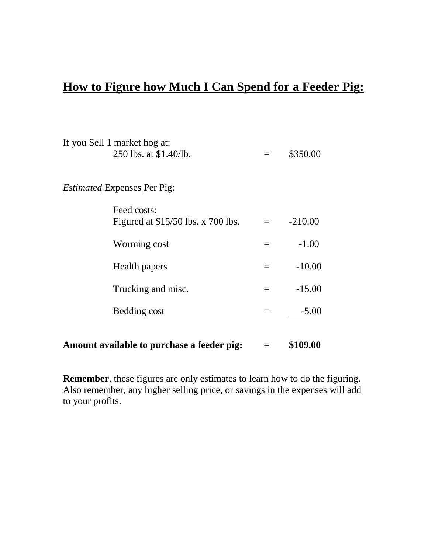# **How to Figure how Much I Can Spend for a Feeder Pig:**

| Amount available to purchase a feeder pig:         |                            | \$109.00  |
|----------------------------------------------------|----------------------------|-----------|
| Bedding cost                                       | $=$                        | $-5.00$   |
| Trucking and misc.                                 | $=$                        | $-15.00$  |
| Health papers                                      | $=$                        | $-10.00$  |
| Worming cost                                       | $=$                        | $-1.00$   |
| Feed costs:<br>Figured at $$15/50$ lbs. x 700 lbs. | $\equiv$ $\equiv$ $\equiv$ | $-210.00$ |
| <i>Estimated</i> Expenses Per Pig:                 |                            |           |
| 250 lbs. at \$1.40/lb.                             |                            | \$350.00  |
| If you Sell 1 market hog at:                       |                            |           |

**Remember**, these figures are only estimates to learn how to do the figuring. Also remember, any higher selling price, or savings in the expenses will add to your profits.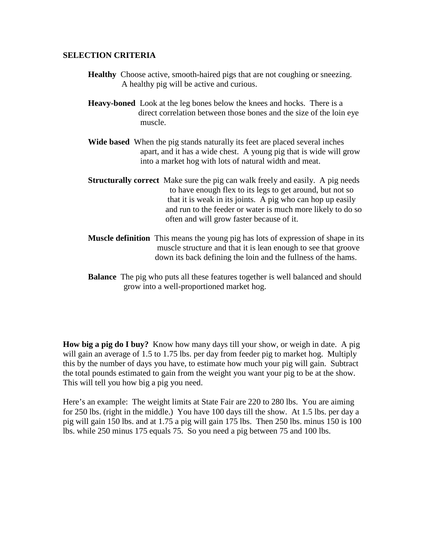#### **SELECTION CRITERIA**

- **Healthy** Choose active, smooth-haired pigs that are not coughing or sneezing. A healthy pig will be active and curious.
- **Heavy-boned** Look at the leg bones below the knees and hocks. There is a direct correlation between those bones and the size of the loin eye muscle.
- **Wide based** When the pig stands naturally its feet are placed several inches apart, and it has a wide chest. A young pig that is wide will grow into a market hog with lots of natural width and meat.
- **Structurally correct** Make sure the pig can walk freely and easily. A pig needs to have enough flex to its legs to get around, but not so that it is weak in its joints. A pig who can hop up easily and run to the feeder or water is much more likely to do so often and will grow faster because of it.
- **Muscle definition** This means the young pig has lots of expression of shape in its muscle structure and that it is lean enough to see that groove down its back defining the loin and the fullness of the hams.
- **Balance** The pig who puts all these features together is well balanced and should grow into a well-proportioned market hog.

**How big a pig do I buy?** Know how many days till your show, or weigh in date. A pig will gain an average of 1.5 to 1.75 lbs. per day from feeder pig to market hog. Multiply this by the number of days you have, to estimate how much your pig will gain. Subtract the total pounds estimated to gain from the weight you want your pig to be at the show. This will tell you how big a pig you need.

Here's an example: The weight limits at State Fair are 220 to 280 lbs. You are aiming for 250 lbs. (right in the middle.) You have 100 days till the show. At 1.5 lbs. per day a pig will gain 150 lbs. and at 1.75 a pig will gain 175 lbs. Then 250 lbs. minus 150 is 100 lbs. while 250 minus 175 equals 75. So you need a pig between 75 and 100 lbs.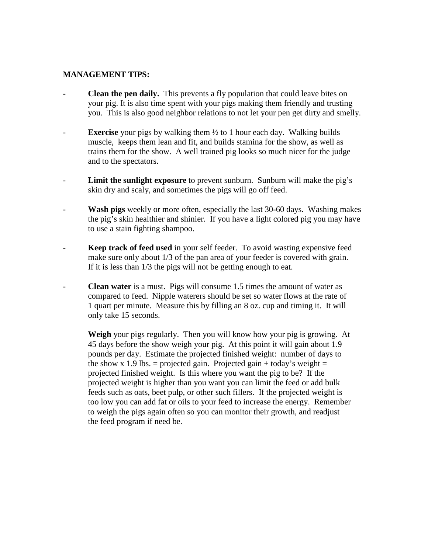#### **MANAGEMENT TIPS:**

- **- Clean the pen daily.** This prevents a fly population that could leave bites on your pig. It is also time spent with your pigs making them friendly and trusting you. This is also good neighbor relations to not let your pen get dirty and smelly.
- **Exercise** your pigs by walking them  $\frac{1}{2}$  to 1 hour each day. Walking builds muscle, keeps them lean and fit, and builds stamina for the show, as well as trains them for the show. A well trained pig looks so much nicer for the judge and to the spectators.
- Limit the sunlight exposure to prevent sunburn. Sunburn will make the pig's skin dry and scaly, and sometimes the pigs will go off feed.
- **Wash pigs** weekly or more often, especially the last 30-60 days. Washing makes the pig's skin healthier and shinier. If you have a light colored pig you may have to use a stain fighting shampoo.
- **Keep track of feed used** in your self feeder. To avoid wasting expensive feed make sure only about 1/3 of the pan area of your feeder is covered with grain. If it is less than 1/3 the pigs will not be getting enough to eat.
- **Clean water** is a must. Pigs will consume 1.5 times the amount of water as compared to feed. Nipple waterers should be set so water flows at the rate of 1 quart per minute. Measure this by filling an 8 oz. cup and timing it. It will only take 15 seconds.

**Weigh** your pigs regularly. Then you will know how your pig is growing. At 45 days before the show weigh your pig. At this point it will gain about 1.9 pounds per day. Estimate the projected finished weight: number of days to the show x 1.9 lbs. = projected gain. Projected gain + today's weight = projected finished weight. Is this where you want the pig to be? If the projected weight is higher than you want you can limit the feed or add bulk feeds such as oats, beet pulp, or other such fillers. If the projected weight is too low you can add fat or oils to your feed to increase the energy. Remember to weigh the pigs again often so you can monitor their growth, and readjust the feed program if need be.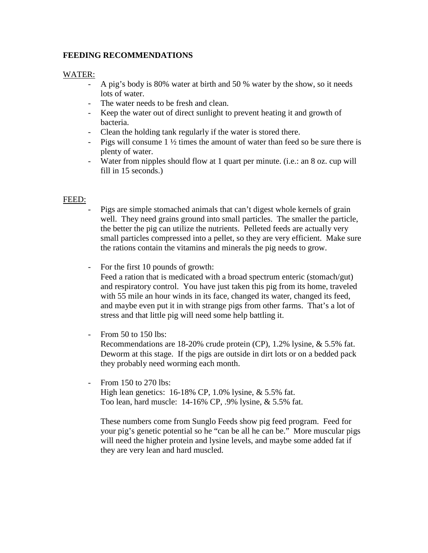#### **FEEDING RECOMMENDATIONS**

#### WATER:

- A pig's body is 80% water at birth and 50 % water by the show, so it needs lots of water.
- The water needs to be fresh and clean.
- Keep the water out of direct sunlight to prevent heating it and growth of bacteria.
- Clean the holding tank regularly if the water is stored there.
- Pigs will consume  $1\frac{1}{2}$  times the amount of water than feed so be sure there is plenty of water.
- Water from nipples should flow at 1 quart per minute. (i.e.: an 8 oz. cup will fill in 15 seconds.)

#### FEED:

- Pigs are simple stomached animals that can't digest whole kernels of grain well. They need grains ground into small particles. The smaller the particle, the better the pig can utilize the nutrients. Pelleted feeds are actually very small particles compressed into a pellet, so they are very efficient. Make sure the rations contain the vitamins and minerals the pig needs to grow.
- For the first 10 pounds of growth:

Feed a ration that is medicated with a broad spectrum enteric (stomach/gut) and respiratory control. You have just taken this pig from its home, traveled with 55 mile an hour winds in its face, changed its water, changed its feed, and maybe even put it in with strange pigs from other farms. That's a lot of stress and that little pig will need some help battling it.

- From 50 to 150 lbs:

Recommendations are 18-20% crude protein (CP), 1.2% lysine, & 5.5% fat. Deworm at this stage. If the pigs are outside in dirt lots or on a bedded pack they probably need worming each month.

From 150 to 270 lbs: High lean genetics: 16-18% CP, 1.0% lysine, & 5.5% fat.

Too lean, hard muscle: 14-16% CP, .9% lysine, & 5.5% fat.

These numbers come from Sunglo Feeds show pig feed program. Feed for your pig's genetic potential so he "can be all he can be." More muscular pigs will need the higher protein and lysine levels, and maybe some added fat if they are very lean and hard muscled.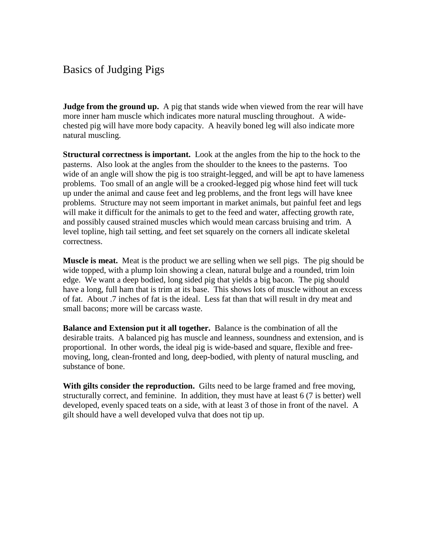## Basics of Judging Pigs

**Judge from the ground up.** A pig that stands wide when viewed from the rear will have more inner ham muscle which indicates more natural muscling throughout. A widechested pig will have more body capacity. A heavily boned leg will also indicate more natural muscling.

**Structural correctness is important.** Look at the angles from the hip to the hock to the pasterns. Also look at the angles from the shoulder to the knees to the pasterns. Too wide of an angle will show the pig is too straight-legged, and will be apt to have lameness problems. Too small of an angle will be a crooked-legged pig whose hind feet will tuck up under the animal and cause feet and leg problems, and the front legs will have knee problems. Structure may not seem important in market animals, but painful feet and legs will make it difficult for the animals to get to the feed and water, affecting growth rate, and possibly caused strained muscles which would mean carcass bruising and trim. A level topline, high tail setting, and feet set squarely on the corners all indicate skeletal correctness.

**Muscle is meat.** Meat is the product we are selling when we sell pigs. The pig should be wide topped, with a plump loin showing a clean, natural bulge and a rounded, trim loin edge. We want a deep bodied, long sided pig that yields a big bacon. The pig should have a long, full ham that is trim at its base. This shows lots of muscle without an excess of fat. About .7 inches of fat is the ideal. Less fat than that will result in dry meat and small bacons; more will be carcass waste.

**Balance and Extension put it all together.** Balance is the combination of all the desirable traits. A balanced pig has muscle and leanness, soundness and extension, and is proportional. In other words, the ideal pig is wide-based and square, flexible and freemoving, long, clean-fronted and long, deep-bodied, with plenty of natural muscling, and substance of bone.

**With gilts consider the reproduction.** Gilts need to be large framed and free moving, structurally correct, and feminine. In addition, they must have at least 6 (7 is better) well developed, evenly spaced teats on a side, with at least 3 of those in front of the navel. A gilt should have a well developed vulva that does not tip up.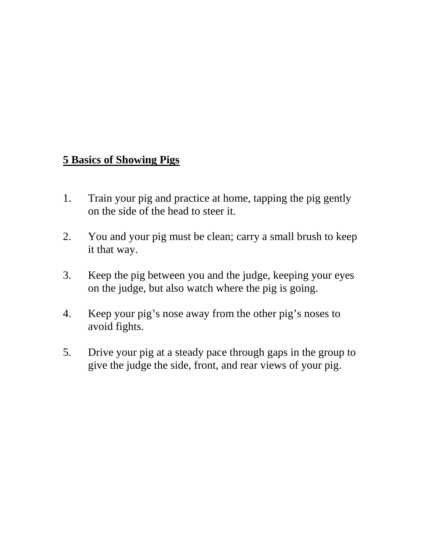# **5 Basics of Showing Pigs**

- 1. Train your pig and practice at home, tapping the pig gently on the side of the head to steer it.
- 2. You and your pig must be clean; carry a small brush to keep it that way.
- 3. Keep the pig between you and the judge, keeping your eyes on the judge, but also watch where the pig is going.
- 4. Keep your pig's nose away from the other pig's noses to avoid fights.
- 5. Drive your pig at a steady pace through gaps in the group to give the judge the side, front, and rear views of your pig.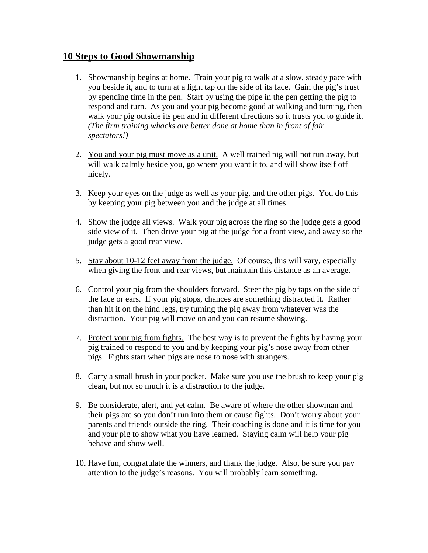### **10 Steps to Good Showmanship**

- 1. Showmanship begins at home. Train your pig to walk at a slow, steady pace with you beside it, and to turn at a light tap on the side of its face. Gain the pig's trust by spending time in the pen. Start by using the pipe in the pen getting the pig to respond and turn. As you and your pig become good at walking and turning, then walk your pig outside its pen and in different directions so it trusts you to guide it. *(The firm training whacks are better done at home than in front of fair spectators!)*
- 2. You and your pig must move as a unit. A well trained pig will not run away, but will walk calmly beside you, go where you want it to, and will show itself off nicely.
- 3. Keep your eyes on the judge as well as your pig, and the other pigs. You do this by keeping your pig between you and the judge at all times.
- 4. Show the judge all views. Walk your pig across the ring so the judge gets a good side view of it. Then drive your pig at the judge for a front view, and away so the judge gets a good rear view.
- 5. Stay about 10-12 feet away from the judge. Of course, this will vary, especially when giving the front and rear views, but maintain this distance as an average.
- 6. Control your pig from the shoulders forward. Steer the pig by taps on the side of the face or ears. If your pig stops, chances are something distracted it. Rather than hit it on the hind legs, try turning the pig away from whatever was the distraction. Your pig will move on and you can resume showing.
- 7. Protect your pig from fights. The best way is to prevent the fights by having your pig trained to respond to you and by keeping your pig's nose away from other pigs. Fights start when pigs are nose to nose with strangers.
- 8. Carry a small brush in your pocket. Make sure you use the brush to keep your pig clean, but not so much it is a distraction to the judge.
- 9. Be considerate, alert, and yet calm. Be aware of where the other showman and their pigs are so you don't run into them or cause fights. Don't worry about your parents and friends outside the ring. Their coaching is done and it is time for you and your pig to show what you have learned. Staying calm will help your pig behave and show well.
- 10. Have fun, congratulate the winners, and thank the judge. Also, be sure you pay attention to the judge's reasons. You will probably learn something.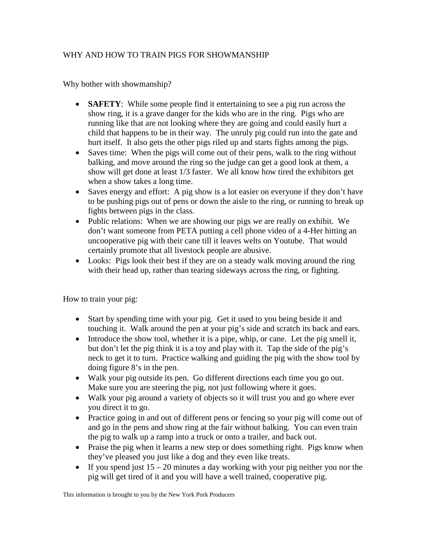#### WHY AND HOW TO TRAIN PIGS FOR SHOWMANSHIP

Why bother with showmanship?

- **SAFETY**: While some people find it entertaining to see a pig run across the show ring, it is a grave danger for the kids who are in the ring. Pigs who are running like that are not looking where they are going and could easily hurt a child that happens to be in their way. The unruly pig could run into the gate and hurt itself. It also gets the other pigs riled up and starts fights among the pigs.
- Saves time: When the pigs will come out of their pens, walk to the ring without balking, and move around the ring so the judge can get a good look at them, a show will get done at least 1/3 faster. We all know how tired the exhibitors get when a show takes a long time.
- Saves energy and effort: A pig show is a lot easier on everyone if they don't have to be pushing pigs out of pens or down the aisle to the ring, or running to break up fights between pigs in the class.
- Public relations: When we are showing our pigs *we* are really on exhibit. We don't want someone from PETA putting a cell phone video of a 4-Her hitting an uncooperative pig with their cane till it leaves welts on Youtube. That would certainly promote that all livestock people are abusive.
- Looks: Pigs look their best if they are on a steady walk moving around the ring with their head up, rather than tearing sideways across the ring, or fighting.

How to train your pig:

- Start by spending time with your pig. Get it used to you being beside it and touching it. Walk around the pen at your pig's side and scratch its back and ears.
- $\bullet$  Introduce the show tool, whether it is a pipe, whip, or cane. Let the pig smell it, but don't let the pig think it is a toy and play with it. Tap the side of the pig's neck to get it to turn. Practice walking and guiding the pig with the show tool by doing figure 8's in the pen.
- Walk your pig outside its pen. Go different directions each time you go out. Make sure you are steering the pig, not just following where it goes.
- Walk your pig around a variety of objects so it will trust you and go where ever you direct it to go.
- Practice going in and out of different pens or fencing so your pig will come out of and go in the pens and show ring at the fair without balking. You can even train the pig to walk up a ramp into a truck or onto a trailer, and back out.
- Praise the pig when it learns a new step or does something right. Pigs know when they've pleased you just like a dog and they even like treats.
- If you spend just  $15 20$  minutes a day working with your pig neither you nor the pig will get tired of it and you will have a well trained, cooperative pig.

This information is brought to you by the New York Pork Producers